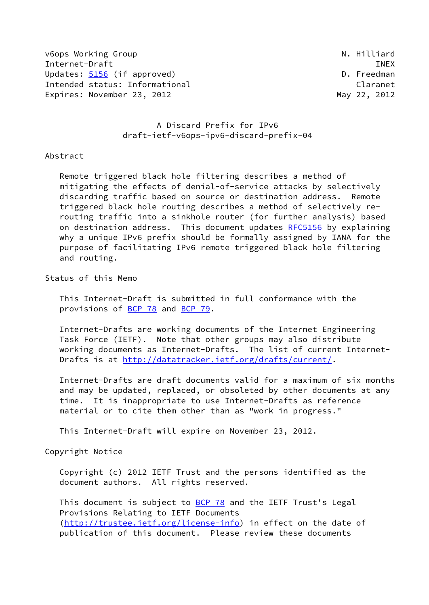v6ops Working Group National Communication of the United States of the United States of the United States of the U Internet-Draft INEX Updates: [5156](https://datatracker.ietf.org/doc/pdf/rfc5156) (if approved) and the control of the D. Freedman Intended status: Informational Communication Claranet Expires: November 23, 2012 and the control of the May 22, 2012

# A Discard Prefix for IPv6 draft-ietf-v6ops-ipv6-discard-prefix-04

## Abstract

 Remote triggered black hole filtering describes a method of mitigating the effects of denial-of-service attacks by selectively discarding traffic based on source or destination address. Remote triggered black hole routing describes a method of selectively re routing traffic into a sinkhole router (for further analysis) based on destination address. This document updates [RFC5156](https://datatracker.ietf.org/doc/pdf/rfc5156) by explaining why a unique IPv6 prefix should be formally assigned by IANA for the purpose of facilitating IPv6 remote triggered black hole filtering and routing.

Status of this Memo

 This Internet-Draft is submitted in full conformance with the provisions of [BCP 78](https://datatracker.ietf.org/doc/pdf/bcp78) and [BCP 79](https://datatracker.ietf.org/doc/pdf/bcp79).

 Internet-Drafts are working documents of the Internet Engineering Task Force (IETF). Note that other groups may also distribute working documents as Internet-Drafts. The list of current Internet- Drafts is at<http://datatracker.ietf.org/drafts/current/>.

 Internet-Drafts are draft documents valid for a maximum of six months and may be updated, replaced, or obsoleted by other documents at any time. It is inappropriate to use Internet-Drafts as reference material or to cite them other than as "work in progress."

This Internet-Draft will expire on November 23, 2012.

Copyright Notice

 Copyright (c) 2012 IETF Trust and the persons identified as the document authors. All rights reserved.

This document is subject to **[BCP 78](https://datatracker.ietf.org/doc/pdf/bcp78)** and the IETF Trust's Legal Provisions Relating to IETF Documents [\(http://trustee.ietf.org/license-info](http://trustee.ietf.org/license-info)) in effect on the date of publication of this document. Please review these documents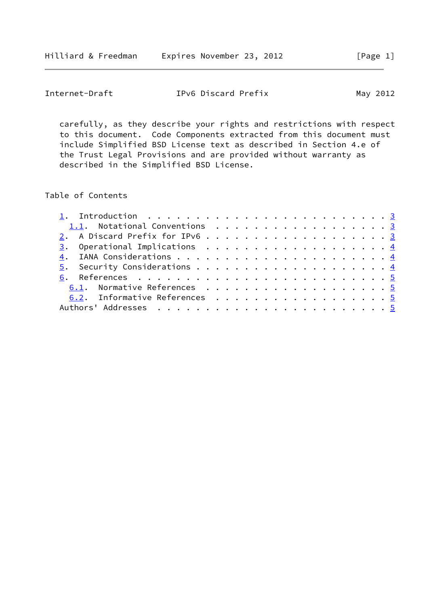| Internet-Draft | IPv6 Discard Prefix | May 2012 |
|----------------|---------------------|----------|
|----------------|---------------------|----------|

 carefully, as they describe your rights and restrictions with respect to this document. Code Components extracted from this document must include Simplified BSD License text as described in Section 4.e of the Trust Legal Provisions and are provided without warranty as described in the Simplified BSD License.

## Table of Contents

| 1.1. Notational Conventions 3<br>2. A Discard Prefix for IPv6 3<br>6.1. Normative References 5 |  |  |
|------------------------------------------------------------------------------------------------|--|--|
|                                                                                                |  |  |
|                                                                                                |  |  |
|                                                                                                |  |  |
|                                                                                                |  |  |
|                                                                                                |  |  |
|                                                                                                |  |  |
|                                                                                                |  |  |
| 6.2. Informative References 5                                                                  |  |  |
|                                                                                                |  |  |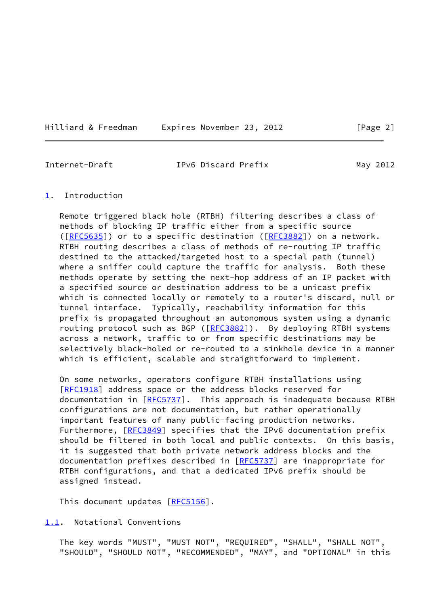<span id="page-2-1"></span>Internet-Draft TPv6 Discard Prefix May 2012

<span id="page-2-0"></span>[1](#page-2-0). Introduction

 Remote triggered black hole (RTBH) filtering describes a class of methods of blocking IP traffic either from a specific source ([\[RFC5635](https://datatracker.ietf.org/doc/pdf/rfc5635)]) or to a specific destination ([[RFC3882](https://datatracker.ietf.org/doc/pdf/rfc3882)]) on a network. RTBH routing describes a class of methods of re-routing IP traffic destined to the attacked/targeted host to a special path (tunnel) where a sniffer could capture the traffic for analysis. Both these methods operate by setting the next-hop address of an IP packet with a specified source or destination address to be a unicast prefix which is connected locally or remotely to a router's discard, null or tunnel interface. Typically, reachability information for this prefix is propagated throughout an autonomous system using a dynamic routing protocol such as BGP ([[RFC3882](https://datatracker.ietf.org/doc/pdf/rfc3882)]). By deploying RTBH systems across a network, traffic to or from specific destinations may be selectively black-holed or re-routed to a sinkhole device in a manner which is efficient, scalable and straightforward to implement.

 On some networks, operators configure RTBH installations using [\[RFC1918](https://datatracker.ietf.org/doc/pdf/rfc1918)] address space or the address blocks reserved for documentation in [\[RFC5737](https://datatracker.ietf.org/doc/pdf/rfc5737)]. This approach is inadequate because RTBH configurations are not documentation, but rather operationally important features of many public-facing production networks. Furthermore, [\[RFC3849](https://datatracker.ietf.org/doc/pdf/rfc3849)] specifies that the IPv6 documentation prefix should be filtered in both local and public contexts. On this basis, it is suggested that both private network address blocks and the documentation prefixes described in [\[RFC5737](https://datatracker.ietf.org/doc/pdf/rfc5737)] are inappropriate for RTBH configurations, and that a dedicated IPv6 prefix should be assigned instead.

This document updates [[RFC5156](https://datatracker.ietf.org/doc/pdf/rfc5156)].

<span id="page-2-2"></span>[1.1](#page-2-2). Notational Conventions

 The key words "MUST", "MUST NOT", "REQUIRED", "SHALL", "SHALL NOT", "SHOULD", "SHOULD NOT", "RECOMMENDED", "MAY", and "OPTIONAL" in this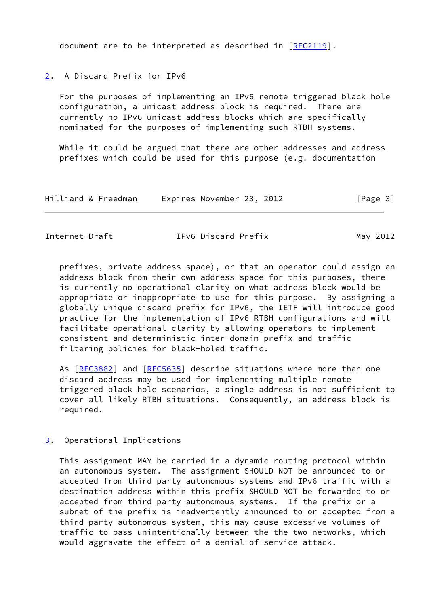document are to be interpreted as described in [\[RFC2119](https://datatracker.ietf.org/doc/pdf/rfc2119)].

## <span id="page-3-0"></span>[2](#page-3-0). A Discard Prefix for IPv6

 For the purposes of implementing an IPv6 remote triggered black hole configuration, a unicast address block is required. There are currently no IPv6 unicast address blocks which are specifically nominated for the purposes of implementing such RTBH systems.

While it could be argued that there are other addresses and address prefixes which could be used for this purpose (e.g. documentation

| Hilliard & Freedman | Expires November 23, 2012 |  | [Page 3] |
|---------------------|---------------------------|--|----------|
|---------------------|---------------------------|--|----------|

<span id="page-3-2"></span>Internet-Draft TPv6 Discard Prefix May 2012

 prefixes, private address space), or that an operator could assign an address block from their own address space for this purposes, there is currently no operational clarity on what address block would be appropriate or inappropriate to use for this purpose. By assigning a globally unique discard prefix for IPv6, the IETF will introduce good practice for the implementation of IPv6 RTBH configurations and will facilitate operational clarity by allowing operators to implement consistent and deterministic inter-domain prefix and traffic filtering policies for black-holed traffic.

 As [[RFC3882\]](https://datatracker.ietf.org/doc/pdf/rfc3882) and [\[RFC5635](https://datatracker.ietf.org/doc/pdf/rfc5635)] describe situations where more than one discard address may be used for implementing multiple remote triggered black hole scenarios, a single address is not sufficient to cover all likely RTBH situations. Consequently, an address block is required.

## <span id="page-3-1"></span>[3](#page-3-1). Operational Implications

 This assignment MAY be carried in a dynamic routing protocol within an autonomous system. The assignment SHOULD NOT be announced to or accepted from third party autonomous systems and IPv6 traffic with a destination address within this prefix SHOULD NOT be forwarded to or accepted from third party autonomous systems. If the prefix or a subnet of the prefix is inadvertently announced to or accepted from a third party autonomous system, this may cause excessive volumes of traffic to pass unintentionally between the the two networks, which would aggravate the effect of a denial-of-service attack.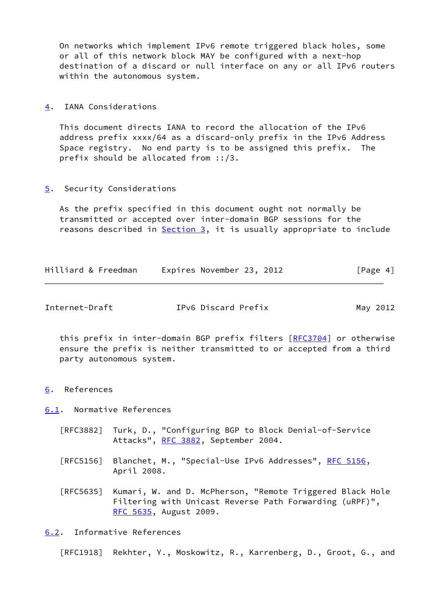On networks which implement IPv6 remote triggered black holes, some or all of this network block MAY be configured with a next-hop destination of a discard or null interface on any or all IPv6 routers within the autonomous system.

#### <span id="page-4-0"></span>[4](#page-4-0). IANA Considerations

 This document directs IANA to record the allocation of the IPv6 address prefix xxxx/64 as a discard-only prefix in the IPv6 Address Space registry. No end party is to be assigned this prefix. The prefix should be allocated from ::/3.

## <span id="page-4-1"></span>[5](#page-4-1). Security Considerations

 As the prefix specified in this document ought not normally be transmitted or accepted over inter-domain BGP sessions for the reasons described in [Section 3](#page-3-1), it is usually appropriate to include

| Hilliard & Freedman | Expires November 23, 2012 | [Page 4] |
|---------------------|---------------------------|----------|
|---------------------|---------------------------|----------|

<span id="page-4-3"></span>Internet-Draft TPv6 Discard Prefix May 2012

this prefix in inter-domain BGP prefix filters [\[RFC3704](https://datatracker.ietf.org/doc/pdf/rfc3704)] or otherwise ensure the prefix is neither transmitted to or accepted from a third party autonomous system.

<span id="page-4-2"></span>[6](#page-4-2). References

<span id="page-4-4"></span>[6.1](#page-4-4). Normative References

- [RFC3882] Turk, D., "Configuring BGP to Block Denial-of-Service Attacks", [RFC 3882](https://datatracker.ietf.org/doc/pdf/rfc3882), September 2004.
- [RFC5156] Blanchet, M., "Special-Use IPv6 Addresses", [RFC 5156,](https://datatracker.ietf.org/doc/pdf/rfc5156) April 2008.
- [RFC5635] Kumari, W. and D. McPherson, "Remote Triggered Black Hole Filtering with Unicast Reverse Path Forwarding (uRPF)", [RFC 5635,](https://datatracker.ietf.org/doc/pdf/rfc5635) August 2009.

## <span id="page-4-5"></span>[6.2](#page-4-5). Informative References

[RFC1918] Rekhter, Y., Moskowitz, R., Karrenberg, D., Groot, G., and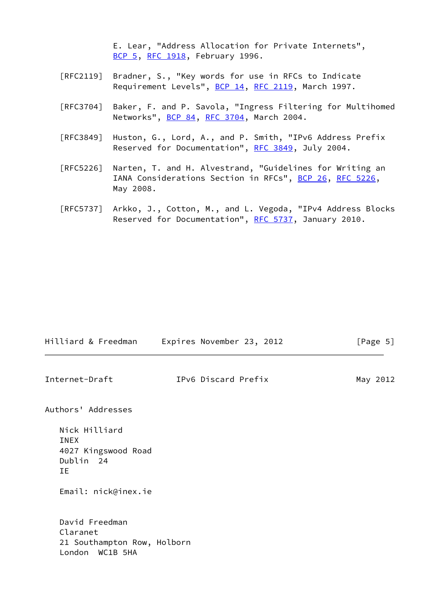E. Lear, "Address Allocation for Private Internets", [BCP 5,](https://datatracker.ietf.org/doc/pdf/bcp5) [RFC 1918](https://datatracker.ietf.org/doc/pdf/rfc1918), February 1996.

- [RFC2119] Bradner, S., "Key words for use in RFCs to Indicate Requirement Levels", [BCP 14](https://datatracker.ietf.org/doc/pdf/bcp14), [RFC 2119](https://datatracker.ietf.org/doc/pdf/rfc2119), March 1997.
- [RFC3704] Baker, F. and P. Savola, "Ingress Filtering for Multihomed Networks", [BCP 84](https://datatracker.ietf.org/doc/pdf/bcp84), [RFC 3704](https://datatracker.ietf.org/doc/pdf/rfc3704), March 2004.
- [RFC3849] Huston, G., Lord, A., and P. Smith, "IPv6 Address Prefix Reserved for Documentation", [RFC 3849](https://datatracker.ietf.org/doc/pdf/rfc3849), July 2004.
- [RFC5226] Narten, T. and H. Alvestrand, "Guidelines for Writing an IANA Considerations Section in RFCs", [BCP 26](https://datatracker.ietf.org/doc/pdf/bcp26), [RFC 5226](https://datatracker.ietf.org/doc/pdf/rfc5226), May 2008.
- [RFC5737] Arkko, J., Cotton, M., and L. Vegoda, "IPv4 Address Blocks Reserved for Documentation", [RFC 5737](https://datatracker.ietf.org/doc/pdf/rfc5737), January 2010.

| Hilliard & Freedman                                                          | Expires November 23, 2012 | [Page 5] |  |
|------------------------------------------------------------------------------|---------------------------|----------|--|
| Internet-Draft                                                               | IPv6 Discard Prefix       | May 2012 |  |
| Authors' Addresses                                                           |                           |          |  |
| Nick Hilliard<br><b>INEX</b><br>4027 Kingswood Road<br>Dublin 24<br>IΕ       |                           |          |  |
| Email: nick@inex.ie                                                          |                           |          |  |
| David Freedman<br>Claranet<br>21 Southampton Row, Holborn<br>London WC1B 5HA |                           |          |  |